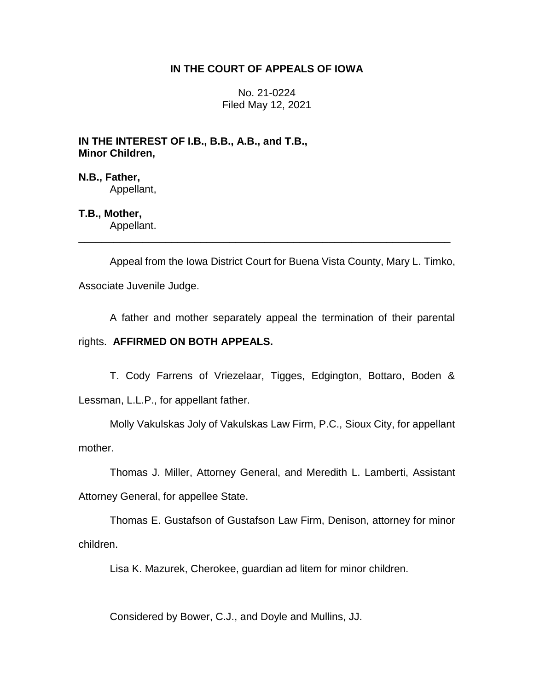# **IN THE COURT OF APPEALS OF IOWA**

No. 21-0224 Filed May 12, 2021

**IN THE INTEREST OF I.B., B.B., A.B., and T.B., Minor Children,**

**N.B., Father,** Appellant,

**T.B., Mother,** Appellant.

Appeal from the Iowa District Court for Buena Vista County, Mary L. Timko, Associate Juvenile Judge.

\_\_\_\_\_\_\_\_\_\_\_\_\_\_\_\_\_\_\_\_\_\_\_\_\_\_\_\_\_\_\_\_\_\_\_\_\_\_\_\_\_\_\_\_\_\_\_\_\_\_\_\_\_\_\_\_\_\_\_\_\_\_\_\_

A father and mother separately appeal the termination of their parental

# rights. **AFFIRMED ON BOTH APPEALS.**

T. Cody Farrens of Vriezelaar, Tigges, Edgington, Bottaro, Boden & Lessman, L.L.P., for appellant father.

Molly Vakulskas Joly of Vakulskas Law Firm, P.C., Sioux City, for appellant mother.

Thomas J. Miller, Attorney General, and Meredith L. Lamberti, Assistant Attorney General, for appellee State.

Thomas E. Gustafson of Gustafson Law Firm, Denison, attorney for minor children.

Lisa K. Mazurek, Cherokee, guardian ad litem for minor children.

Considered by Bower, C.J., and Doyle and Mullins, JJ.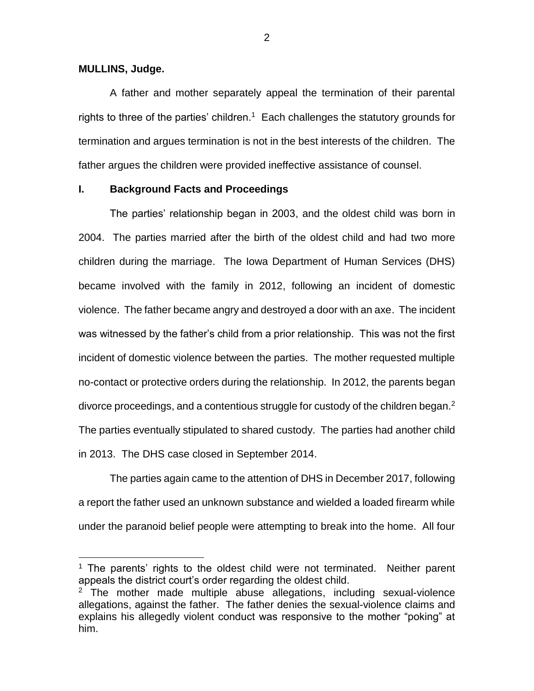#### **MULLINS, Judge.**

 $\overline{a}$ 

A father and mother separately appeal the termination of their parental rights to three of the parties' children.<sup>1</sup> Each challenges the statutory grounds for termination and argues termination is not in the best interests of the children. The father argues the children were provided ineffective assistance of counsel.

## **I. Background Facts and Proceedings**

The parties' relationship began in 2003, and the oldest child was born in 2004. The parties married after the birth of the oldest child and had two more children during the marriage. The Iowa Department of Human Services (DHS) became involved with the family in 2012, following an incident of domestic violence. The father became angry and destroyed a door with an axe. The incident was witnessed by the father's child from a prior relationship. This was not the first incident of domestic violence between the parties. The mother requested multiple no-contact or protective orders during the relationship. In 2012, the parents began divorce proceedings, and a contentious struggle for custody of the children began. $2$ The parties eventually stipulated to shared custody. The parties had another child in 2013. The DHS case closed in September 2014.

The parties again came to the attention of DHS in December 2017, following a report the father used an unknown substance and wielded a loaded firearm while under the paranoid belief people were attempting to break into the home. All four

<sup>&</sup>lt;sup>1</sup> The parents' rights to the oldest child were not terminated. Neither parent appeals the district court's order regarding the oldest child.

 $2$  The mother made multiple abuse allegations, including sexual-violence allegations, against the father. The father denies the sexual-violence claims and explains his allegedly violent conduct was responsive to the mother "poking" at him.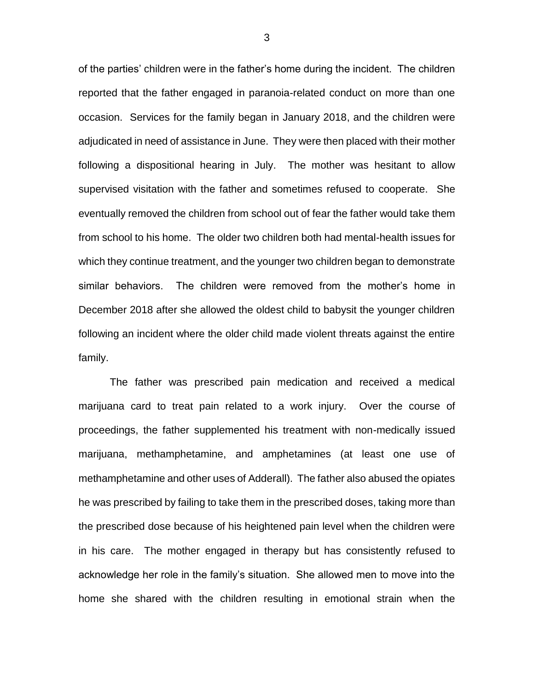of the parties' children were in the father's home during the incident. The children reported that the father engaged in paranoia-related conduct on more than one occasion. Services for the family began in January 2018, and the children were adjudicated in need of assistance in June. They were then placed with their mother following a dispositional hearing in July. The mother was hesitant to allow supervised visitation with the father and sometimes refused to cooperate. She eventually removed the children from school out of fear the father would take them from school to his home. The older two children both had mental-health issues for which they continue treatment, and the younger two children began to demonstrate similar behaviors. The children were removed from the mother's home in December 2018 after she allowed the oldest child to babysit the younger children following an incident where the older child made violent threats against the entire family.

The father was prescribed pain medication and received a medical marijuana card to treat pain related to a work injury. Over the course of proceedings, the father supplemented his treatment with non-medically issued marijuana, methamphetamine, and amphetamines (at least one use of methamphetamine and other uses of Adderall). The father also abused the opiates he was prescribed by failing to take them in the prescribed doses, taking more than the prescribed dose because of his heightened pain level when the children were in his care. The mother engaged in therapy but has consistently refused to acknowledge her role in the family's situation. She allowed men to move into the home she shared with the children resulting in emotional strain when the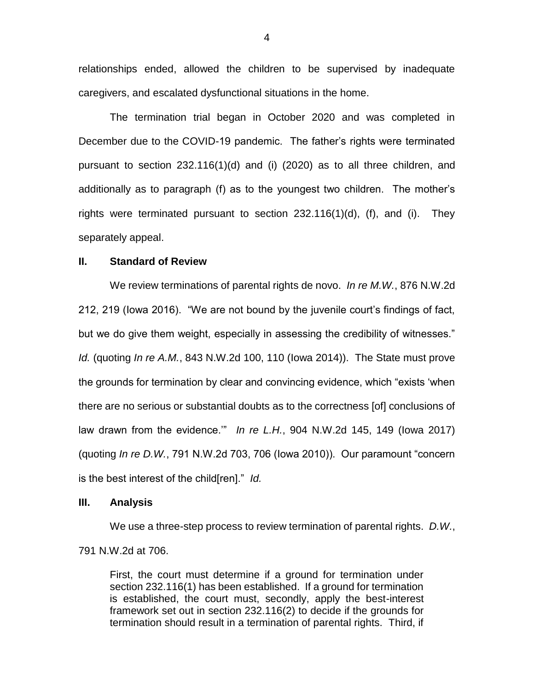relationships ended, allowed the children to be supervised by inadequate caregivers, and escalated dysfunctional situations in the home.

The termination trial began in October 2020 and was completed in December due to the COVID-19 pandemic. The father's rights were terminated pursuant to section 232.116(1)(d) and (i) (2020) as to all three children, and additionally as to paragraph (f) as to the youngest two children. The mother's rights were terminated pursuant to section 232.116(1)(d), (f), and (i). They separately appeal.

### **II. Standard of Review**

We review terminations of parental rights de novo. *In re M.W.*, 876 N.W.2d 212, 219 (Iowa 2016). "We are not bound by the juvenile court's findings of fact, but we do give them weight, especially in assessing the credibility of witnesses." *Id.* (quoting *In re A.M.*, 843 N.W.2d 100, 110 (Iowa 2014)). The State must prove the grounds for termination by clear and convincing evidence, which "exists 'when there are no serious or substantial doubts as to the correctness [of] conclusions of law drawn from the evidence.'" *In re L.H.*, 904 N.W.2d 145, 149 (Iowa 2017) (quoting *In re D.W.*, 791 N.W.2d 703, 706 (Iowa 2010)). Our paramount "concern is the best interest of the child[ren]." *Id.*

### **III. Analysis**

We use a three-step process to review termination of parental rights. *D.W.*, 791 N.W.2d at 706.

First, the court must determine if a ground for termination under section 232.116(1) has been established. If a ground for termination is established, the court must, secondly, apply the best-interest framework set out in section 232.116(2) to decide if the grounds for termination should result in a termination of parental rights. Third, if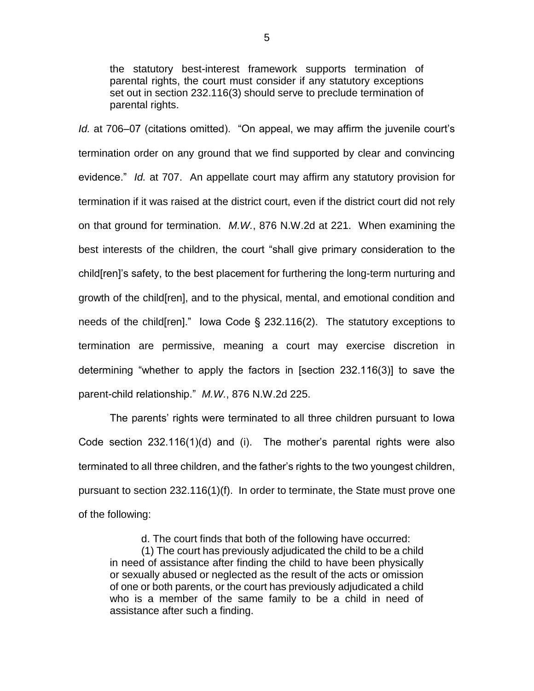the statutory best-interest framework supports termination of parental rights, the court must consider if any statutory exceptions set out in section 232.116(3) should serve to preclude termination of parental rights.

*Id.* at 706–07 (citations omitted). "On appeal, we may affirm the juvenile court's termination order on any ground that we find supported by clear and convincing evidence." *Id.* at 707. An appellate court may affirm any statutory provision for termination if it was raised at the district court, even if the district court did not rely on that ground for termination. *M.W.*, 876 N.W.2d at 221. When examining the best interests of the children, the court "shall give primary consideration to the child[ren]'s safety, to the best placement for furthering the long-term nurturing and growth of the child[ren], and to the physical, mental, and emotional condition and needs of the child[ren]." Iowa Code § 232.116(2). The statutory exceptions to termination are permissive, meaning a court may exercise discretion in determining "whether to apply the factors in [section 232.116(3)] to save the parent-child relationship." *M.W.*, 876 N.W.2d 225.

The parents' rights were terminated to all three children pursuant to Iowa Code section 232.116(1)(d) and (i). The mother's parental rights were also terminated to all three children, and the father's rights to the two youngest children, pursuant to section 232.116(1)(f). In order to terminate, the State must prove one of the following:

d. The court finds that both of the following have occurred:

(1) The court has previously adjudicated the child to be a child in need of assistance after finding the child to have been physically or sexually abused or neglected as the result of the acts or omission of one or both parents, or the court has previously adjudicated a child who is a member of the same family to be a child in need of assistance after such a finding.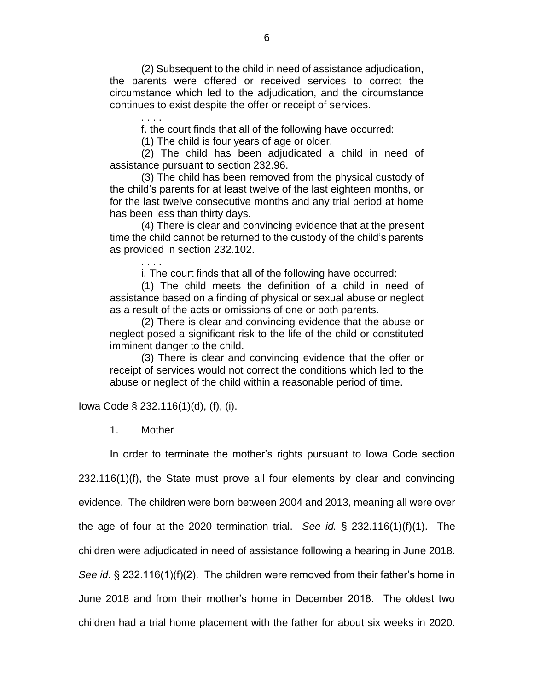(2) Subsequent to the child in need of assistance adjudication, the parents were offered or received services to correct the circumstance which led to the adjudication, and the circumstance continues to exist despite the offer or receipt of services.

f. the court finds that all of the following have occurred:

(1) The child is four years of age or older.

(2) The child has been adjudicated a child in need of assistance pursuant to section 232.96.

(3) The child has been removed from the physical custody of the child's parents for at least twelve of the last eighteen months, or for the last twelve consecutive months and any trial period at home has been less than thirty days.

(4) There is clear and convincing evidence that at the present time the child cannot be returned to the custody of the child's parents as provided in section 232.102.

i. The court finds that all of the following have occurred:

(1) The child meets the definition of a child in need of assistance based on a finding of physical or sexual abuse or neglect as a result of the acts or omissions of one or both parents.

(2) There is clear and convincing evidence that the abuse or neglect posed a significant risk to the life of the child or constituted imminent danger to the child.

(3) There is clear and convincing evidence that the offer or receipt of services would not correct the conditions which led to the abuse or neglect of the child within a reasonable period of time.

Iowa Code § 232.116(1)(d), (f), (i).

. . . .

. . . .

1. Mother

In order to terminate the mother's rights pursuant to Iowa Code section

232.116(1)(f), the State must prove all four elements by clear and convincing

evidence. The children were born between 2004 and 2013, meaning all were over

the age of four at the 2020 termination trial. *See id.* § 232.116(1)(f)(1). The

children were adjudicated in need of assistance following a hearing in June 2018.

*See id.* § 232.116(1)(f)(2). The children were removed from their father's home in June 2018 and from their mother's home in December 2018. The oldest two

children had a trial home placement with the father for about six weeks in 2020.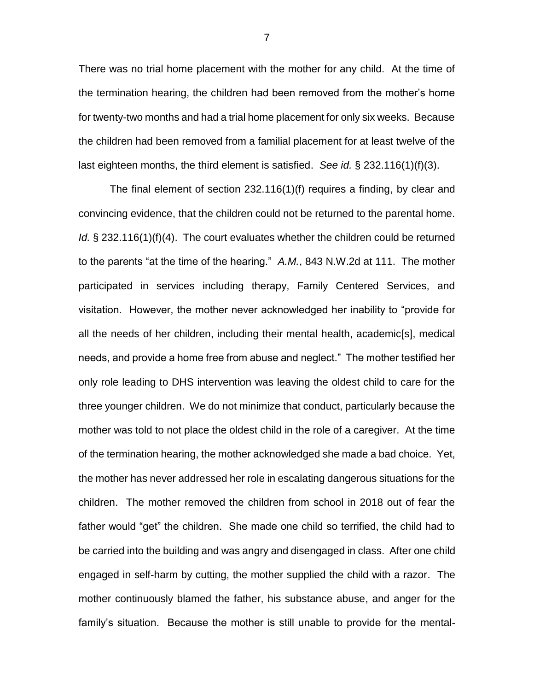There was no trial home placement with the mother for any child. At the time of the termination hearing, the children had been removed from the mother's home for twenty-two months and had a trial home placement for only six weeks. Because the children had been removed from a familial placement for at least twelve of the last eighteen months, the third element is satisfied. *See id.* § 232.116(1)(f)(3).

The final element of section 232.116(1)(f) requires a finding, by clear and convincing evidence, that the children could not be returned to the parental home. *Id.* § 232.116(1)(f)(4). The court evaluates whether the children could be returned to the parents "at the time of the hearing." *A.M.*, 843 N.W.2d at 111. The mother participated in services including therapy, Family Centered Services, and visitation. However, the mother never acknowledged her inability to "provide for all the needs of her children, including their mental health, academic[s], medical needs, and provide a home free from abuse and neglect." The mother testified her only role leading to DHS intervention was leaving the oldest child to care for the three younger children. We do not minimize that conduct, particularly because the mother was told to not place the oldest child in the role of a caregiver. At the time of the termination hearing, the mother acknowledged she made a bad choice. Yet, the mother has never addressed her role in escalating dangerous situations for the children. The mother removed the children from school in 2018 out of fear the father would "get" the children. She made one child so terrified, the child had to be carried into the building and was angry and disengaged in class. After one child engaged in self-harm by cutting, the mother supplied the child with a razor. The mother continuously blamed the father, his substance abuse, and anger for the family's situation. Because the mother is still unable to provide for the mental-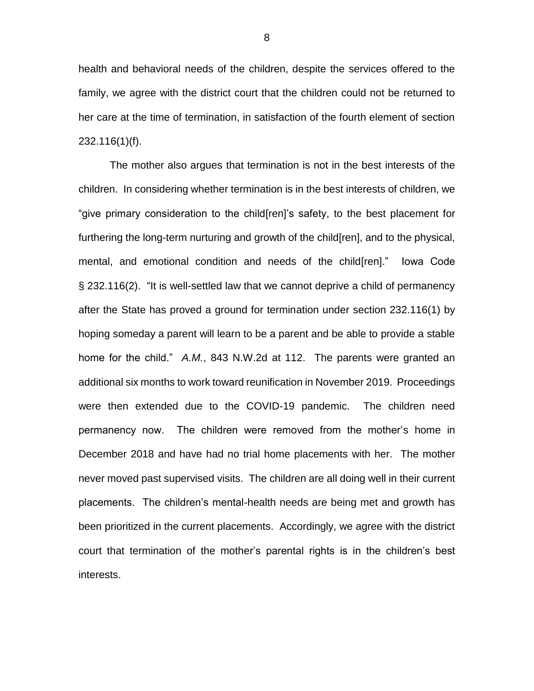health and behavioral needs of the children, despite the services offered to the family, we agree with the district court that the children could not be returned to her care at the time of termination, in satisfaction of the fourth element of section 232.116(1)(f).

The mother also argues that termination is not in the best interests of the children. In considering whether termination is in the best interests of children, we "give primary consideration to the child[ren]'s safety, to the best placement for furthering the long-term nurturing and growth of the child[ren], and to the physical, mental, and emotional condition and needs of the child[ren]." Iowa Code § 232.116(2). "It is well-settled law that we cannot deprive a child of permanency after the State has proved a ground for termination under section 232.116(1) by hoping someday a parent will learn to be a parent and be able to provide a stable home for the child." *A.M.*, 843 N.W.2d at 112. The parents were granted an additional six months to work toward reunification in November 2019. Proceedings were then extended due to the COVID-19 pandemic. The children need permanency now. The children were removed from the mother's home in December 2018 and have had no trial home placements with her. The mother never moved past supervised visits. The children are all doing well in their current placements. The children's mental-health needs are being met and growth has been prioritized in the current placements. Accordingly, we agree with the district court that termination of the mother's parental rights is in the children's best interests.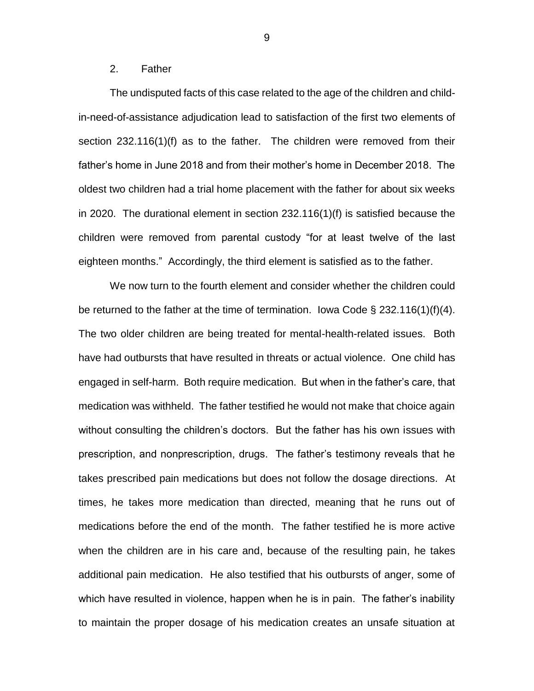#### 2. Father

The undisputed facts of this case related to the age of the children and childin-need-of-assistance adjudication lead to satisfaction of the first two elements of section 232.116(1)(f) as to the father. The children were removed from their father's home in June 2018 and from their mother's home in December 2018. The oldest two children had a trial home placement with the father for about six weeks in 2020. The durational element in section 232.116(1)(f) is satisfied because the children were removed from parental custody "for at least twelve of the last eighteen months." Accordingly, the third element is satisfied as to the father.

We now turn to the fourth element and consider whether the children could be returned to the father at the time of termination. Iowa Code § 232.116(1)(f)(4). The two older children are being treated for mental-health-related issues. Both have had outbursts that have resulted in threats or actual violence. One child has engaged in self-harm. Both require medication. But when in the father's care, that medication was withheld. The father testified he would not make that choice again without consulting the children's doctors. But the father has his own issues with prescription, and nonprescription, drugs. The father's testimony reveals that he takes prescribed pain medications but does not follow the dosage directions. At times, he takes more medication than directed, meaning that he runs out of medications before the end of the month. The father testified he is more active when the children are in his care and, because of the resulting pain, he takes additional pain medication. He also testified that his outbursts of anger, some of which have resulted in violence, happen when he is in pain. The father's inability to maintain the proper dosage of his medication creates an unsafe situation at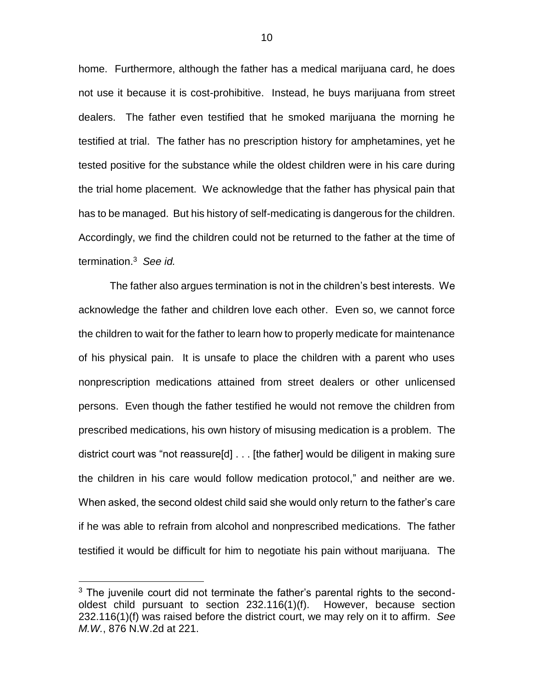home. Furthermore, although the father has a medical marijuana card, he does not use it because it is cost-prohibitive. Instead, he buys marijuana from street dealers. The father even testified that he smoked marijuana the morning he testified at trial. The father has no prescription history for amphetamines, yet he tested positive for the substance while the oldest children were in his care during the trial home placement. We acknowledge that the father has physical pain that has to be managed. But his history of self-medicating is dangerous for the children. Accordingly, we find the children could not be returned to the father at the time of termination.<sup>3</sup> *See id.*

The father also argues termination is not in the children's best interests. We acknowledge the father and children love each other. Even so, we cannot force the children to wait for the father to learn how to properly medicate for maintenance of his physical pain. It is unsafe to place the children with a parent who uses nonprescription medications attained from street dealers or other unlicensed persons. Even though the father testified he would not remove the children from prescribed medications, his own history of misusing medication is a problem. The district court was "not reassure[d] . . . [the father] would be diligent in making sure the children in his care would follow medication protocol," and neither are we. When asked, the second oldest child said she would only return to the father's care if he was able to refrain from alcohol and nonprescribed medications. The father testified it would be difficult for him to negotiate his pain without marijuana. The

 $\overline{a}$ 

 $3$  The juvenile court did not terminate the father's parental rights to the secondoldest child pursuant to section 232.116(1)(f). However, because section 232.116(1)(f) was raised before the district court, we may rely on it to affirm. *See M.W.*, 876 N.W.2d at 221.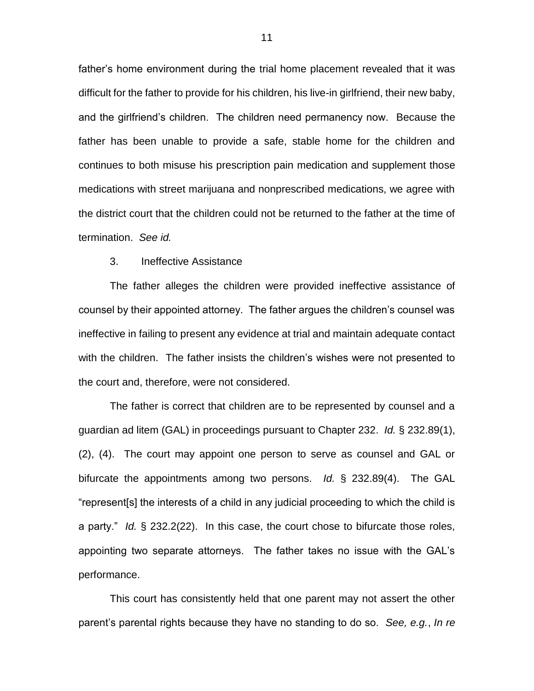father's home environment during the trial home placement revealed that it was difficult for the father to provide for his children, his live-in girlfriend, their new baby, and the girlfriend's children. The children need permanency now. Because the father has been unable to provide a safe, stable home for the children and continues to both misuse his prescription pain medication and supplement those medications with street marijuana and nonprescribed medications, we agree with the district court that the children could not be returned to the father at the time of termination. *See id.*

### 3. Ineffective Assistance

The father alleges the children were provided ineffective assistance of counsel by their appointed attorney. The father argues the children's counsel was ineffective in failing to present any evidence at trial and maintain adequate contact with the children. The father insists the children's wishes were not presented to the court and, therefore, were not considered.

The father is correct that children are to be represented by counsel and a guardian ad litem (GAL) in proceedings pursuant to Chapter 232. *Id.* § 232.89(1), (2), (4). The court may appoint one person to serve as counsel and GAL or bifurcate the appointments among two persons. *Id.* § 232.89(4). The GAL "represent[s] the interests of a child in any judicial proceeding to which the child is a party." *Id.* § 232.2(22). In this case, the court chose to bifurcate those roles, appointing two separate attorneys. The father takes no issue with the GAL's performance.

This court has consistently held that one parent may not assert the other parent's parental rights because they have no standing to do so. *See, e.g.*, *In re*